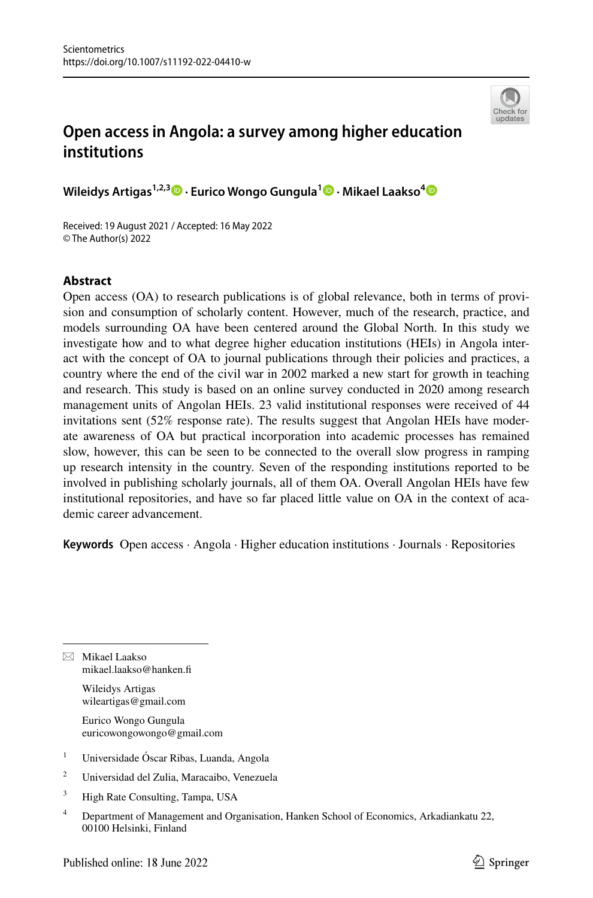

# **Open access in Angola: a survey among higher education institutions**

**Wileidys Artigas1,2,3 · Eurico Wongo Gungula1  [·](http://orcid.org/0000-0002-5685-1328) Mikael Laakso[4](http://orcid.org/0000-0003-3951-7990)**

Received: 19 August 2021 / Accepted: 16 May 2022 © The Author(s) 2022

# **Abstract**

Open access (OA) to research publications is of global relevance, both in terms of provision and consumption of scholarly content. However, much of the research, practice, and models surrounding OA have been centered around the Global North. In this study we investigate how and to what degree higher education institutions (HEIs) in Angola interact with the concept of OA to journal publications through their policies and practices, a country where the end of the civil war in 2002 marked a new start for growth in teaching and research. This study is based on an online survey conducted in 2020 among research management units of Angolan HEIs. 23 valid institutional responses were received of 44 invitations sent (52% response rate). The results suggest that Angolan HEIs have moderate awareness of OA but practical incorporation into academic processes has remained slow, however, this can be seen to be connected to the overall slow progress in ramping up research intensity in the country. Seven of the responding institutions reported to be involved in publishing scholarly journals, all of them OA. Overall Angolan HEIs have few institutional repositories, and have so far placed little value on OA in the context of academic career advancement.

**Keywords** Open access · Angola · Higher education institutions · Journals · Repositories

 $\boxtimes$  Mikael Laakso mikael.laakso@hanken.f

> Wileidys Artigas wileartigas@gmail.com

Eurico Wongo Gungula euricowongowongo@gmail.com

- <sup>1</sup> Universidade Óscar Ribas, Luanda, Angola
- <sup>2</sup> Universidad del Zulia, Maracaibo, Venezuela
- <sup>3</sup> High Rate Consulting, Tampa, USA
- <sup>4</sup> Department of Management and Organisation, Hanken School of Economics, Arkadiankatu 22, 00100 Helsinki, Finland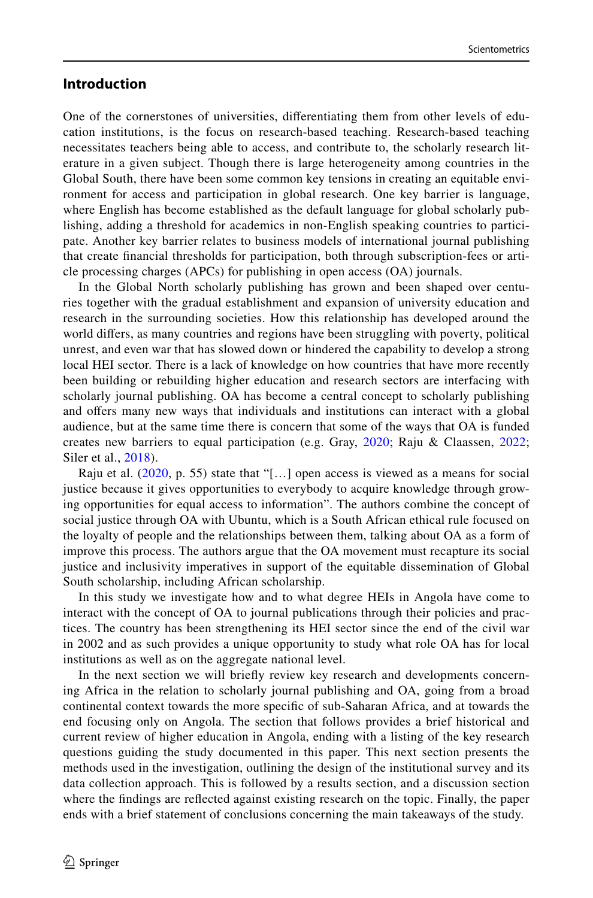# **Introduction**

One of the cornerstones of universities, diferentiating them from other levels of education institutions, is the focus on research-based teaching. Research-based teaching necessitates teachers being able to access, and contribute to, the scholarly research literature in a given subject. Though there is large heterogeneity among countries in the Global South, there have been some common key tensions in creating an equitable environment for access and participation in global research. One key barrier is language, where English has become established as the default language for global scholarly publishing, adding a threshold for academics in non-English speaking countries to participate. Another key barrier relates to business models of international journal publishing that create fnancial thresholds for participation, both through subscription-fees or article processing charges (APCs) for publishing in open access (OA) journals.

In the Global North scholarly publishing has grown and been shaped over centuries together with the gradual establishment and expansion of university education and research in the surrounding societies. How this relationship has developed around the world difers, as many countries and regions have been struggling with poverty, political unrest, and even war that has slowed down or hindered the capability to develop a strong local HEI sector. There is a lack of knowledge on how countries that have more recently been building or rebuilding higher education and research sectors are interfacing with scholarly journal publishing. OA has become a central concept to scholarly publishing and ofers many new ways that individuals and institutions can interact with a global audience, but at the same time there is concern that some of the ways that OA is funded creates new barriers to equal participation (e.g. Gray, [2020;](#page-16-0) Raju & Claassen, [2022;](#page-16-1) Siler et al., [2018\)](#page-16-2).

Raju et al.  $(2020, p. 55)$  $(2020, p. 55)$  state that "[...] open access is viewed as a means for social justice because it gives opportunities to everybody to acquire knowledge through growing opportunities for equal access to information". The authors combine the concept of social justice through OA with Ubuntu, which is a South African ethical rule focused on the loyalty of people and the relationships between them, talking about OA as a form of improve this process. The authors argue that the OA movement must recapture its social justice and inclusivity imperatives in support of the equitable dissemination of Global South scholarship, including African scholarship.

In this study we investigate how and to what degree HEIs in Angola have come to interact with the concept of OA to journal publications through their policies and practices. The country has been strengthening its HEI sector since the end of the civil war in 2002 and as such provides a unique opportunity to study what role OA has for local institutions as well as on the aggregate national level.

In the next section we will briefy review key research and developments concerning Africa in the relation to scholarly journal publishing and OA, going from a broad continental context towards the more specifc of sub-Saharan Africa, and at towards the end focusing only on Angola. The section that follows provides a brief historical and current review of higher education in Angola, ending with a listing of the key research questions guiding the study documented in this paper. This next section presents the methods used in the investigation, outlining the design of the institutional survey and its data collection approach. This is followed by a results section, and a discussion section where the fndings are refected against existing research on the topic. Finally, the paper ends with a brief statement of conclusions concerning the main takeaways of the study.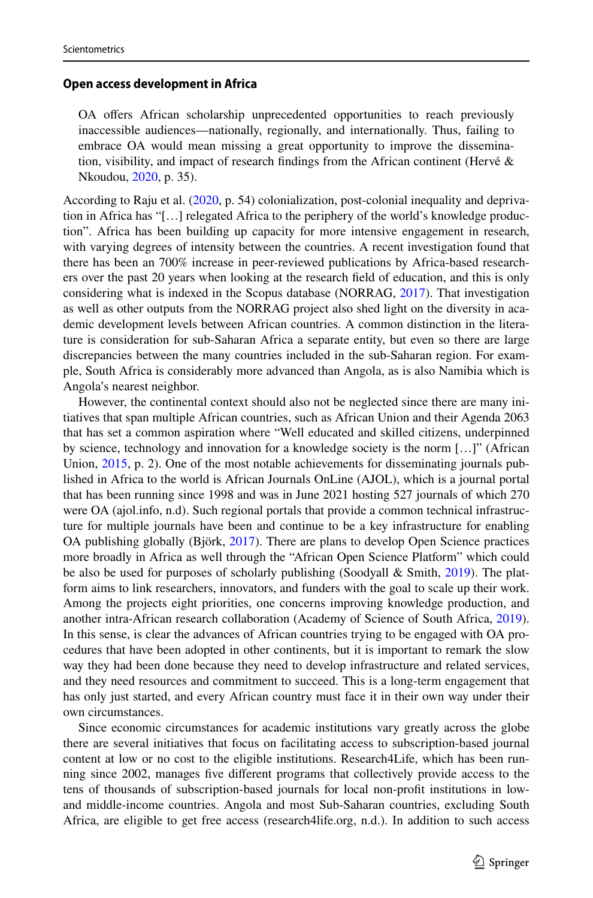### **Open access development in Africa**

OA offers African scholarship unprecedented opportunities to reach previously inaccessible audiences—nationally, regionally, and internationally. Thus, failing to embrace OA would mean missing a great opportunity to improve the dissemination, visibility, and impact of research findings from the African continent (Hervé  $\&$ Nkoudou, [2020](#page-16-4), p. 35).

According to Raju et al. [\(2020](#page-16-3), p. 54) colonialization, post-colonial inequality and deprivation in Africa has "[…] relegated Africa to the periphery of the world's knowledge production". Africa has been building up capacity for more intensive engagement in research, with varying degrees of intensity between the countries. A recent investigation found that there has been an 700% increase in peer-reviewed publications by Africa-based researchers over the past 20 years when looking at the research feld of education, and this is only considering what is indexed in the Scopus database (NORRAG, [2017](#page-16-5)). That investigation as well as other outputs from the NORRAG project also shed light on the diversity in academic development levels between African countries. A common distinction in the literature is consideration for sub-Saharan Africa a separate entity, but even so there are large discrepancies between the many countries included in the sub-Saharan region. For example, South Africa is considerably more advanced than Angola, as is also Namibia which is Angola's nearest neighbor.

However, the continental context should also not be neglected since there are many initiatives that span multiple African countries, such as African Union and their Agenda 2063 that has set a common aspiration where "Well educated and skilled citizens, underpinned by science, technology and innovation for a knowledge society is the norm […]" (African Union, [2015,](#page-15-0) p. 2). One of the most notable achievements for disseminating journals published in Africa to the world is African Journals OnLine (AJOL), which is a journal portal that has been running since 1998 and was in June 2021 hosting 527 journals of which 270 were OA (ajol.info, n.d). Such regional portals that provide a common technical infrastructure for multiple journals have been and continue to be a key infrastructure for enabling OA publishing globally (Björk, [2017](#page-15-1)). There are plans to develop Open Science practices more broadly in Africa as well through the "African Open Science Platform" which could be also be used for purposes of scholarly publishing (Soodyall & Smith, [2019\)](#page-16-6). The platform aims to link researchers, innovators, and funders with the goal to scale up their work. Among the projects eight priorities, one concerns improving knowledge production, and another intra-African research collaboration (Academy of Science of South Africa, [2019](#page-15-2)). In this sense, is clear the advances of African countries trying to be engaged with OA procedures that have been adopted in other continents, but it is important to remark the slow way they had been done because they need to develop infrastructure and related services, and they need resources and commitment to succeed. This is a long-term engagement that has only just started, and every African country must face it in their own way under their own circumstances.

Since economic circumstances for academic institutions vary greatly across the globe there are several initiatives that focus on facilitating access to subscription-based journal content at low or no cost to the eligible institutions. Research4Life, which has been running since 2002, manages fve diferent programs that collectively provide access to the tens of thousands of subscription-based journals for local non-proft institutions in lowand middle-income countries. Angola and most Sub-Saharan countries, excluding South Africa, are eligible to get free access (research4life.org, n.d.). In addition to such access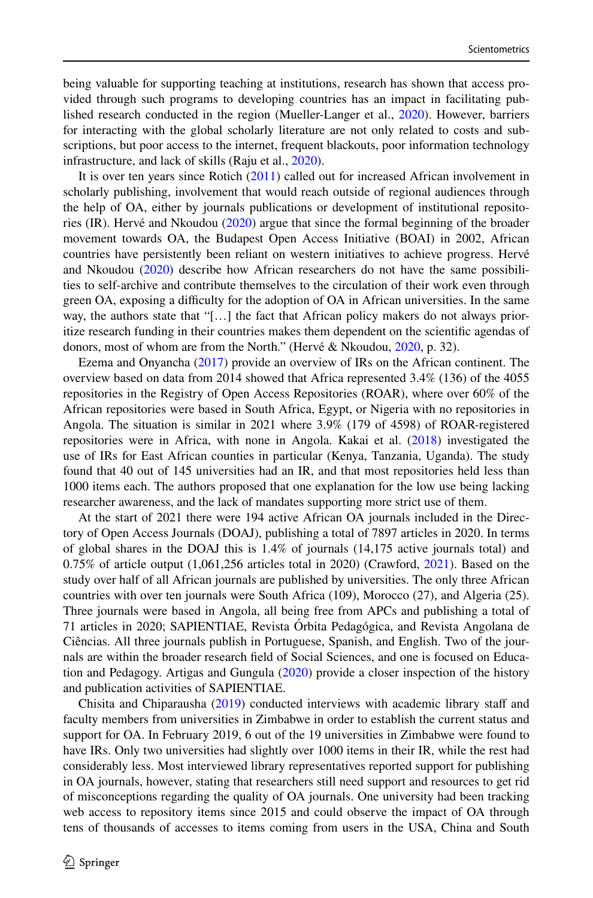being valuable for supporting teaching at institutions, research has shown that access provided through such programs to developing countries has an impact in facilitating published research conducted in the region (Mueller-Langer et al., [2020\)](#page-16-7). However, barriers for interacting with the global scholarly literature are not only related to costs and subscriptions, but poor access to the internet, frequent blackouts, poor information technology infrastructure, and lack of skills (Raju et al., [2020](#page-16-3)).

It is over ten years since Rotich ([2011\)](#page-16-8) called out for increased African involvement in scholarly publishing, involvement that would reach outside of regional audiences through the help of OA, either by journals publications or development of institutional repositories (IR). Hervé and Nkoudou ([2020\)](#page-16-4) argue that since the formal beginning of the broader movement towards OA, the Budapest Open Access Initiative (BOAI) in 2002, African countries have persistently been reliant on western initiatives to achieve progress. Hervé and Nkoudou ([2020\)](#page-16-4) describe how African researchers do not have the same possibilities to self-archive and contribute themselves to the circulation of their work even through green OA, exposing a difculty for the adoption of OA in African universities. In the same way, the authors state that "[…] the fact that African policy makers do not always prioritize research funding in their countries makes them dependent on the scientifc agendas of donors, most of whom are from the North." (Hervé & Nkoudou, [2020,](#page-16-4) p. 32).

Ezema and Onyancha ([2017\)](#page-15-3) provide an overview of IRs on the African continent. The overview based on data from 2014 showed that Africa represented 3.4% (136) of the 4055 repositories in the Registry of Open Access Repositories (ROAR), where over 60% of the African repositories were based in South Africa, Egypt, or Nigeria with no repositories in Angola. The situation is similar in 2021 where 3.9% (179 of 4598) of ROAR-registered repositories were in Africa, with none in Angola. Kakai et al. [\(2018](#page-16-9)) investigated the use of IRs for East African counties in particular (Kenya, Tanzania, Uganda). The study found that 40 out of 145 universities had an IR, and that most repositories held less than 1000 items each. The authors proposed that one explanation for the low use being lacking researcher awareness, and the lack of mandates supporting more strict use of them.

At the start of 2021 there were 194 active African OA journals included in the Directory of Open Access Journals (DOAJ), publishing a total of 7897 articles in 2020. In terms of global shares in the DOAJ this is 1.4% of journals (14,175 active journals total) and 0.75% of article output (1,061,256 articles total in 2020) (Crawford, [2021](#page-15-4)). Based on the study over half of all African journals are published by universities. The only three African countries with over ten journals were South Africa (109), Morocco (27), and Algeria (25). Three journals were based in Angola, all being free from APCs and publishing a total of 71 articles in 2020; SAPIENTIAE, Revista Órbita Pedagógica, and Revista Angolana de Ciências. All three journals publish in Portuguese, Spanish, and English. Two of the journals are within the broader research feld of Social Sciences, and one is focused on Education and Pedagogy. Artigas and Gungula [\(2020](#page-15-5)) provide a closer inspection of the history and publication activities of SAPIENTIAE.

Chisita and Chiparausha ([2019\)](#page-15-6) conducted interviews with academic library staff and faculty members from universities in Zimbabwe in order to establish the current status and support for OA. In February 2019, 6 out of the 19 universities in Zimbabwe were found to have IRs. Only two universities had slightly over 1000 items in their IR, while the rest had considerably less. Most interviewed library representatives reported support for publishing in OA journals, however, stating that researchers still need support and resources to get rid of misconceptions regarding the quality of OA journals. One university had been tracking web access to repository items since 2015 and could observe the impact of OA through tens of thousands of accesses to items coming from users in the USA, China and South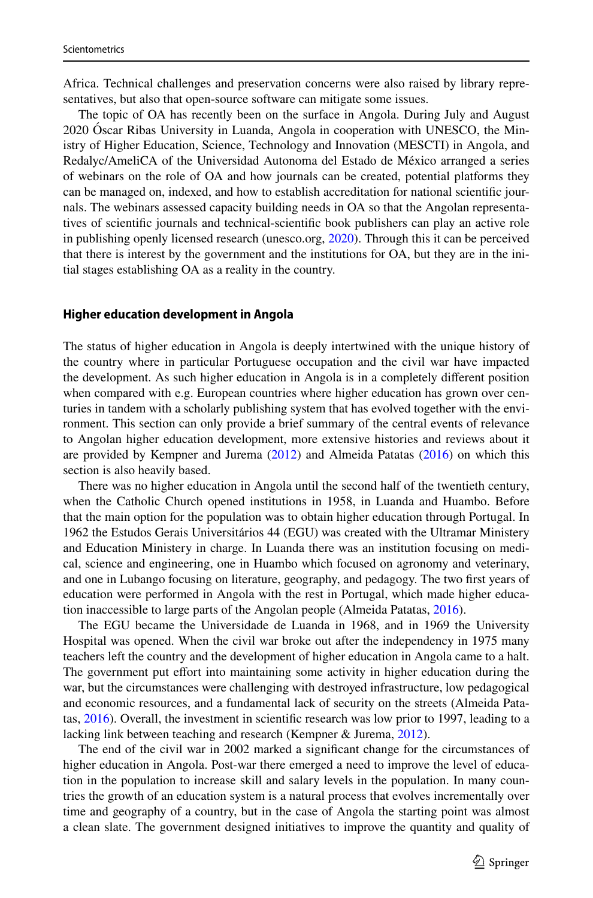Africa. Technical challenges and preservation concerns were also raised by library representatives, but also that open-source software can mitigate some issues.

The topic of OA has recently been on the surface in Angola. During July and August 2020 Óscar Ribas University in Luanda, Angola in cooperation with UNESCO, the Ministry of Higher Education, Science, Technology and Innovation (MESCTI) in Angola, and Redalyc/AmeliCA of the Universidad Autonoma del Estado de México arranged a series of webinars on the role of OA and how journals can be created, potential platforms they can be managed on, indexed, and how to establish accreditation for national scientifc journals. The webinars assessed capacity building needs in OA so that the Angolan representatives of scientifc journals and technical-scientifc book publishers can play an active role in publishing openly licensed research (unesco.org, [2020](#page-16-10)). Through this it can be perceived that there is interest by the government and the institutions for OA, but they are in the initial stages establishing OA as a reality in the country.

#### **Higher education development in Angola**

The status of higher education in Angola is deeply intertwined with the unique history of the country where in particular Portuguese occupation and the civil war have impacted the development. As such higher education in Angola is in a completely diferent position when compared with e.g. European countries where higher education has grown over centuries in tandem with a scholarly publishing system that has evolved together with the environment. This section can only provide a brief summary of the central events of relevance to Angolan higher education development, more extensive histories and reviews about it are provided by Kempner and Jurema [\(2012](#page-16-11)) and Almeida Patatas ([2016\)](#page-15-7) on which this section is also heavily based.

There was no higher education in Angola until the second half of the twentieth century, when the Catholic Church opened institutions in 1958, in Luanda and Huambo. Before that the main option for the population was to obtain higher education through Portugal. In 1962 the Estudos Gerais Universitários 44 (EGU) was created with the Ultramar Ministery and Education Ministery in charge. In Luanda there was an institution focusing on medical, science and engineering, one in Huambo which focused on agronomy and veterinary, and one in Lubango focusing on literature, geography, and pedagogy. The two frst years of education were performed in Angola with the rest in Portugal, which made higher education inaccessible to large parts of the Angolan people (Almeida Patatas, [2016](#page-15-7)).

The EGU became the Universidade de Luanda in 1968, and in 1969 the University Hospital was opened. When the civil war broke out after the independency in 1975 many teachers left the country and the development of higher education in Angola came to a halt. The government put efort into maintaining some activity in higher education during the war, but the circumstances were challenging with destroyed infrastructure, low pedagogical and economic resources, and a fundamental lack of security on the streets (Almeida Patatas, [2016](#page-15-7)). Overall, the investment in scientifc research was low prior to 1997, leading to a lacking link between teaching and research (Kempner & Jurema, [2012\)](#page-16-11).

The end of the civil war in 2002 marked a signifcant change for the circumstances of higher education in Angola. Post-war there emerged a need to improve the level of education in the population to increase skill and salary levels in the population. In many countries the growth of an education system is a natural process that evolves incrementally over time and geography of a country, but in the case of Angola the starting point was almost a clean slate. The government designed initiatives to improve the quantity and quality of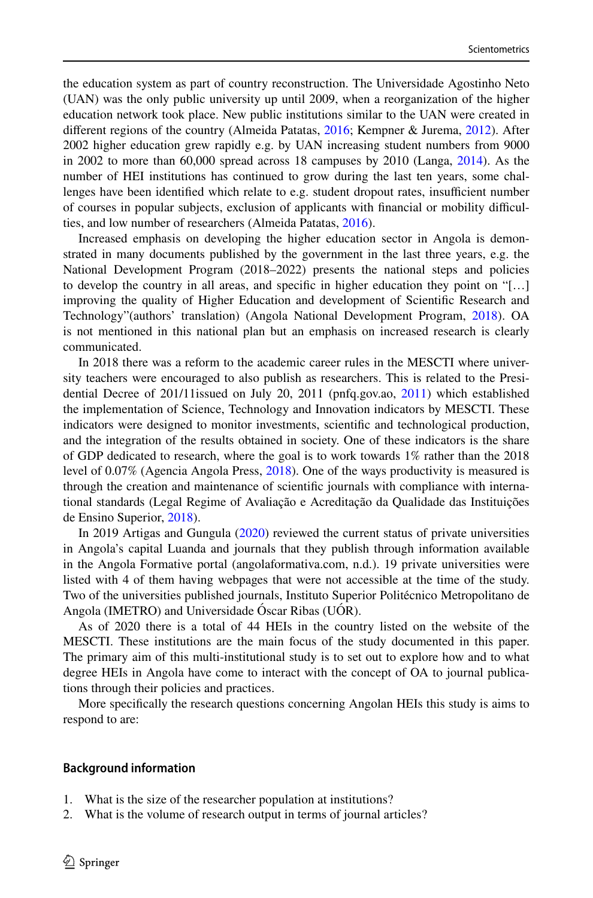the education system as part of country reconstruction. The Universidade Agostinho Neto (UAN) was the only public university up until 2009, when a reorganization of the higher education network took place. New public institutions similar to the UAN were created in diferent regions of the country (Almeida Patatas, [2016](#page-15-7); Kempner & Jurema, [2012](#page-16-11)). After 2002 higher education grew rapidly e.g. by UAN increasing student numbers from 9000 in 2002 to more than 60,000 spread across 18 campuses by 2010 (Langa, [2014](#page-16-12)). As the number of HEI institutions has continued to grow during the last ten years, some challenges have been identified which relate to e.g. student dropout rates, insufficient number of courses in popular subjects, exclusion of applicants with fnancial or mobility difculties, and low number of researchers (Almeida Patatas, [2016\)](#page-15-7).

Increased emphasis on developing the higher education sector in Angola is demonstrated in many documents published by the government in the last three years, e.g. the National Development Program (2018–2022) presents the national steps and policies to develop the country in all areas, and specifc in higher education they point on "[…] improving the quality of Higher Education and development of Scientifc Research and Technology"(authors' translation) (Angola National Development Program, [2018](#page-15-8)). OA is not mentioned in this national plan but an emphasis on increased research is clearly communicated.

In 2018 there was a reform to the academic career rules in the MESCTI where university teachers were encouraged to also publish as researchers. This is related to the Presidential Decree of 201/11issued on July 20, 2011 (pnfq.gov.ao, [2011\)](#page-16-13) which established the implementation of Science, Technology and Innovation indicators by MESCTI. These indicators were designed to monitor investments, scientifc and technological production, and the integration of the results obtained in society. One of these indicators is the share of GDP dedicated to research, where the goal is to work towards 1% rather than the 2018 level of 0.07% (Agencia Angola Press, [2018](#page-15-9)). One of the ways productivity is measured is through the creation and maintenance of scientifc journals with compliance with international standards (Legal Regime of Avaliação e Acreditação da Qualidade das Instituições de Ensino Superior, [2018](#page-16-14)).

In 2019 Artigas and Gungula [\(2020](#page-15-5)) reviewed the current status of private universities in Angola's capital Luanda and journals that they publish through information available in the Angola Formative portal (angolaformativa.com, n.d.). 19 private universities were listed with 4 of them having webpages that were not accessible at the time of the study. Two of the universities published journals, Instituto Superior Politécnico Metropolitano de Angola (IMETRO) and Universidade Óscar Ribas (UÓR).

As of 2020 there is a total of 44 HEIs in the country listed on the website of the MESCTI. These institutions are the main focus of the study documented in this paper. The primary aim of this multi-institutional study is to set out to explore how and to what degree HEIs in Angola have come to interact with the concept of OA to journal publications through their policies and practices.

More specifcally the research questions concerning Angolan HEIs this study is aims to respond to are:

#### **Background information**

- 1. What is the size of the researcher population at institutions?
- 2. What is the volume of research output in terms of journal articles?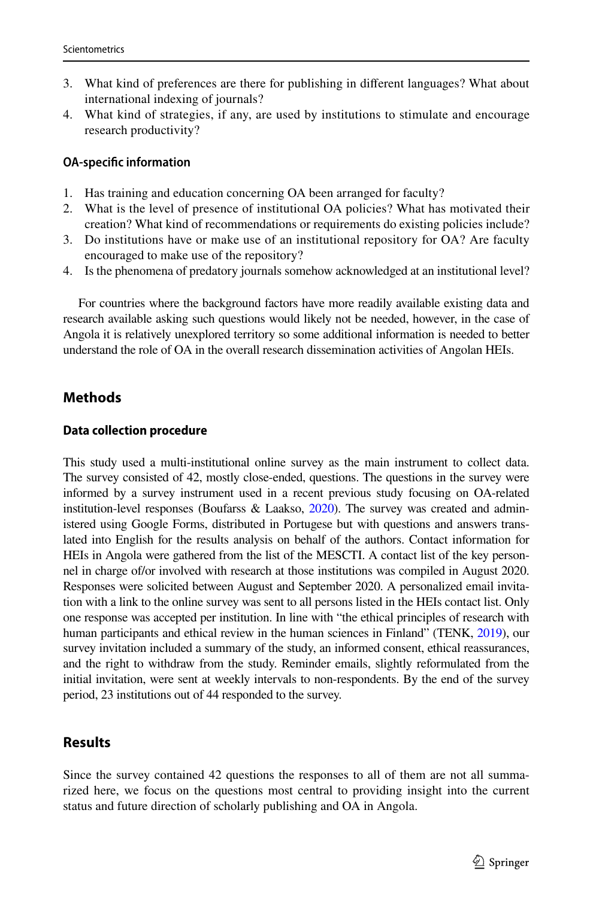- 3. What kind of preferences are there for publishing in diferent languages? What about international indexing of journals?
- 4. What kind of strategies, if any, are used by institutions to stimulate and encourage research productivity?

## **OA‑specifc information**

- 1. Has training and education concerning OA been arranged for faculty?
- 2. What is the level of presence of institutional OA policies? What has motivated their creation? What kind of recommendations or requirements do existing policies include?
- 3. Do institutions have or make use of an institutional repository for OA? Are faculty encouraged to make use of the repository?
- 4. Is the phenomena of predatory journals somehow acknowledged at an institutional level?

For countries where the background factors have more readily available existing data and research available asking such questions would likely not be needed, however, in the case of Angola it is relatively unexplored territory so some additional information is needed to better understand the role of OA in the overall research dissemination activities of Angolan HEIs.

# **Methods**

#### **Data collection procedure**

This study used a multi-institutional online survey as the main instrument to collect data. The survey consisted of 42, mostly close-ended, questions. The questions in the survey were informed by a survey instrument used in a recent previous study focusing on OA-related institution-level responses (Boufarss  $&$  Laakso, [2020\)](#page-15-10). The survey was created and administered using Google Forms, distributed in Portugese but with questions and answers translated into English for the results analysis on behalf of the authors. Contact information for HEIs in Angola were gathered from the list of the MESCTI. A contact list of the key personnel in charge of/or involved with research at those institutions was compiled in August 2020. Responses were solicited between August and September 2020. A personalized email invitation with a link to the online survey was sent to all persons listed in the HEIs contact list. Only one response was accepted per institution. In line with "the ethical principles of research with human participants and ethical review in the human sciences in Finland" (TENK, [2019](#page-16-15)), our survey invitation included a summary of the study, an informed consent, ethical reassurances, and the right to withdraw from the study. Reminder emails, slightly reformulated from the initial invitation, were sent at weekly intervals to non-respondents. By the end of the survey period, 23 institutions out of 44 responded to the survey.

# **Results**

Since the survey contained 42 questions the responses to all of them are not all summarized here, we focus on the questions most central to providing insight into the current status and future direction of scholarly publishing and OA in Angola.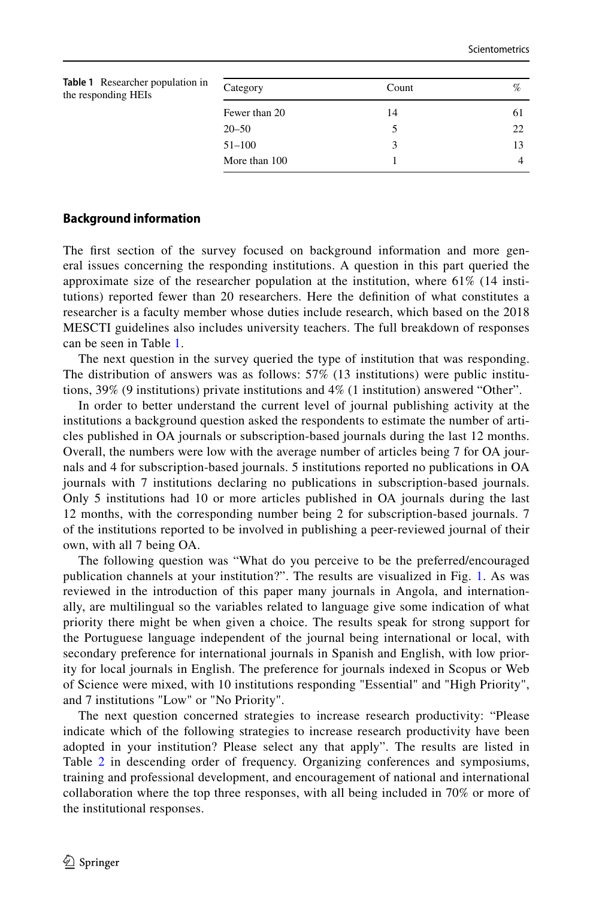<span id="page-7-0"></span>

| Category      | Count | %  |
|---------------|-------|----|
| Fewer than 20 | 14    | 61 |
| $20 - 50$     |       | 22 |
| $51 - 100$    |       | 13 |
| More than 100 |       |    |
|               |       |    |

## **Background information**

The frst section of the survey focused on background information and more general issues concerning the responding institutions. A question in this part queried the approximate size of the researcher population at the institution, where 61% (14 institutions) reported fewer than 20 researchers. Here the defnition of what constitutes a researcher is a faculty member whose duties include research, which based on the 2018 MESCTI guidelines also includes university teachers. The full breakdown of responses can be seen in Table [1](#page-7-0).

The next question in the survey queried the type of institution that was responding. The distribution of answers was as follows: 57% (13 institutions) were public institutions, 39% (9 institutions) private institutions and 4% (1 institution) answered "Other".

In order to better understand the current level of journal publishing activity at the institutions a background question asked the respondents to estimate the number of articles published in OA journals or subscription-based journals during the last 12 months. Overall, the numbers were low with the average number of articles being 7 for OA journals and 4 for subscription-based journals. 5 institutions reported no publications in OA journals with 7 institutions declaring no publications in subscription-based journals. Only 5 institutions had 10 or more articles published in OA journals during the last 12 months, with the corresponding number being 2 for subscription-based journals. 7 of the institutions reported to be involved in publishing a peer-reviewed journal of their own, with all 7 being OA.

The following question was "What do you perceive to be the preferred/encouraged publication channels at your institution?". The results are visualized in Fig. [1.](#page-8-0) As was reviewed in the introduction of this paper many journals in Angola, and internationally, are multilingual so the variables related to language give some indication of what priority there might be when given a choice. The results speak for strong support for the Portuguese language independent of the journal being international or local, with secondary preference for international journals in Spanish and English, with low priority for local journals in English. The preference for journals indexed in Scopus or Web of Science were mixed, with 10 institutions responding "Essential" and "High Priority", and 7 institutions "Low" or "No Priority".

The next question concerned strategies to increase research productivity: "Please indicate which of the following strategies to increase research productivity have been adopted in your institution? Please select any that apply". The results are listed in Table [2](#page-8-1) in descending order of frequency. Organizing conferences and symposiums, training and professional development, and encouragement of national and international collaboration where the top three responses, with all being included in 70% or more of the institutional responses.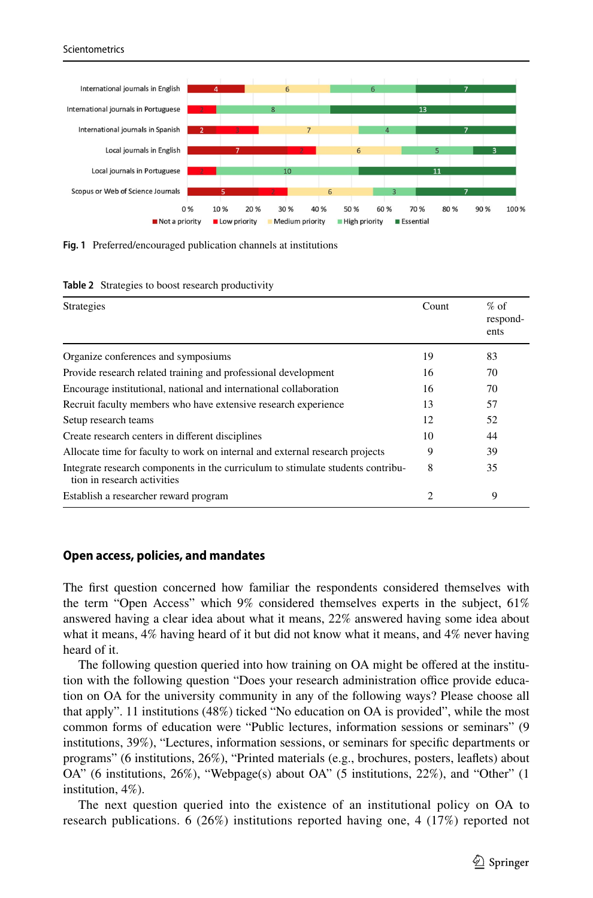

<span id="page-8-0"></span>**Fig. 1** Preferred/encouraged publication channels at institutions

| <b>Strategies</b>                                                                                              | Count | $%$ of<br>respond-<br>ents |  |
|----------------------------------------------------------------------------------------------------------------|-------|----------------------------|--|
| Organize conferences and symposiums                                                                            | 19    | 83                         |  |
| Provide research related training and professional development                                                 | 16    | 70                         |  |
| Encourage institutional, national and international collaboration                                              | 16    | 70                         |  |
| Recruit faculty members who have extensive research experience                                                 | 13    | 57                         |  |
| Setup research teams                                                                                           | 12    | 52                         |  |
| Create research centers in different disciplines                                                               | 10    | 44                         |  |
| Allocate time for faculty to work on internal and external research projects                                   | 9     | 39                         |  |
| Integrate research components in the curriculum to stimulate students contribu-<br>tion in research activities | 8     | 35                         |  |
| Establish a researcher reward program                                                                          | 2     | 9                          |  |

#### <span id="page-8-1"></span>**Table 2** Strategies to boost research productivity

#### **Open access, policies, and mandates**

The frst question concerned how familiar the respondents considered themselves with the term "Open Access" which 9% considered themselves experts in the subject, 61% answered having a clear idea about what it means, 22% answered having some idea about what it means, 4% having heard of it but did not know what it means, and 4% never having heard of it.

The following question queried into how training on OA might be ofered at the institution with the following question "Does your research administration office provide education on OA for the university community in any of the following ways? Please choose all that apply". 11 institutions (48%) ticked "No education on OA is provided", while the most common forms of education were "Public lectures, information sessions or seminars" (9 institutions, 39%), "Lectures, information sessions, or seminars for specifc departments or programs" (6 institutions, 26%), "Printed materials (e.g., brochures, posters, leafets) about OA" (6 institutions, 26%), "Webpage(s) about OA" (5 institutions, 22%), and "Other" (1 institution, 4%).

The next question queried into the existence of an institutional policy on OA to research publications. 6 (26%) institutions reported having one, 4 (17%) reported not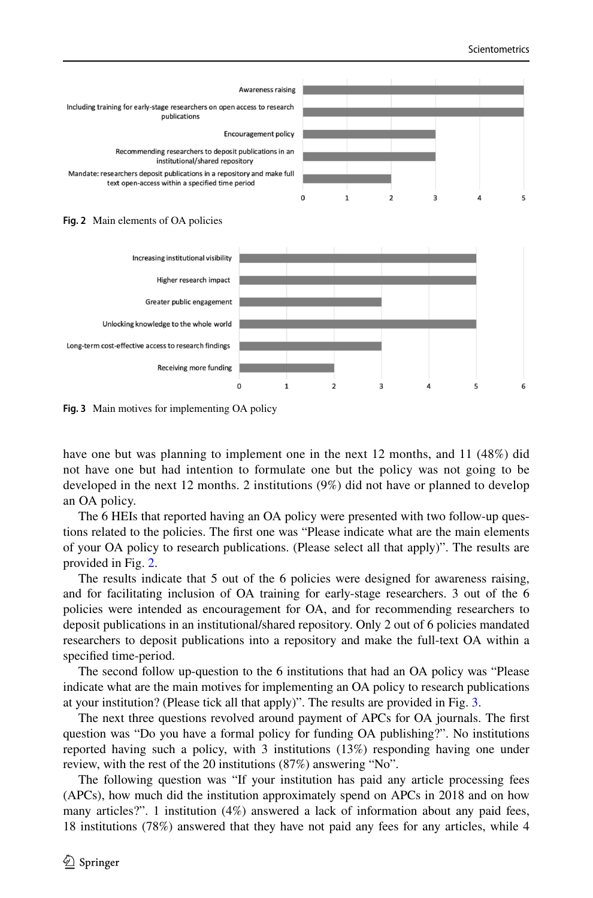

<span id="page-9-0"></span>



<span id="page-9-1"></span>**Fig. 3** Main motives for implementing OA policy

have one but was planning to implement one in the next 12 months, and 11 (48%) did not have one but had intention to formulate one but the policy was not going to be developed in the next 12 months. 2 institutions (9%) did not have or planned to develop an OA policy.

The 6 HEIs that reported having an OA policy were presented with two follow-up questions related to the policies. The frst one was "Please indicate what are the main elements of your OA policy to research publications. (Please select all that apply)". The results are provided in Fig. [2.](#page-9-0)

The results indicate that 5 out of the 6 policies were designed for awareness raising, and for facilitating inclusion of OA training for early-stage researchers. 3 out of the 6 policies were intended as encouragement for OA, and for recommending researchers to deposit publications in an institutional/shared repository. Only 2 out of 6 policies mandated researchers to deposit publications into a repository and make the full-text OA within a specifed time-period.

The second follow up-question to the 6 institutions that had an OA policy was "Please indicate what are the main motives for implementing an OA policy to research publications at your institution? (Please tick all that apply)". The results are provided in Fig. [3.](#page-9-1)

The next three questions revolved around payment of APCs for OA journals. The frst question was "Do you have a formal policy for funding OA publishing?". No institutions reported having such a policy, with 3 institutions (13%) responding having one under review, with the rest of the 20 institutions (87%) answering "No".

The following question was "If your institution has paid any article processing fees (APCs), how much did the institution approximately spend on APCs in 2018 and on how many articles?". 1 institution (4%) answered a lack of information about any paid fees, 18 institutions (78%) answered that they have not paid any fees for any articles, while 4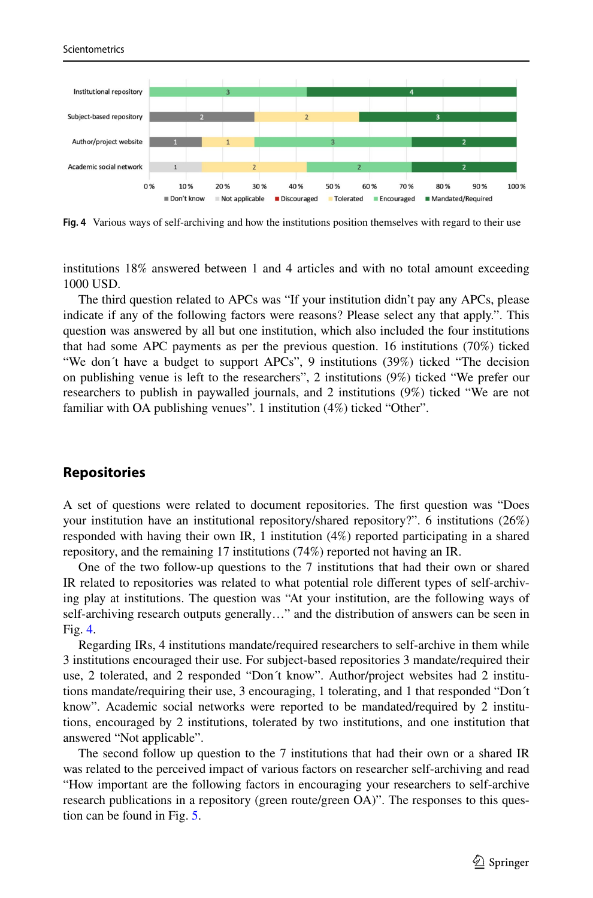

<span id="page-10-0"></span>**Fig. 4** Various ways of self-archiving and how the institutions position themselves with regard to their use

institutions 18% answered between 1 and 4 articles and with no total amount exceeding 1000 USD.

The third question related to APCs was "If your institution didn't pay any APCs, please indicate if any of the following factors were reasons? Please select any that apply.". This question was answered by all but one institution, which also included the four institutions that had some APC payments as per the previous question. 16 institutions (70%) ticked "We don´t have a budget to support APCs", 9 institutions (39%) ticked "The decision on publishing venue is left to the researchers", 2 institutions (9%) ticked "We prefer our researchers to publish in paywalled journals, and 2 institutions (9%) ticked "We are not familiar with OA publishing venues". 1 institution (4%) ticked "Other".

# **Repositories**

Scientometrics

A set of questions were related to document repositories. The frst question was "Does your institution have an institutional repository/shared repository?". 6 institutions (26%) responded with having their own IR, 1 institution (4%) reported participating in a shared repository, and the remaining 17 institutions (74%) reported not having an IR.

One of the two follow-up questions to the 7 institutions that had their own or shared IR related to repositories was related to what potential role diferent types of self-archiving play at institutions. The question was "At your institution, are the following ways of self-archiving research outputs generally…" and the distribution of answers can be seen in Fig. [4.](#page-10-0)

Regarding IRs, 4 institutions mandate/required researchers to self-archive in them while 3 institutions encouraged their use. For subject-based repositories 3 mandate/required their use, 2 tolerated, and 2 responded "Don´t know". Author/project websites had 2 institutions mandate/requiring their use, 3 encouraging, 1 tolerating, and 1 that responded "Don´t know". Academic social networks were reported to be mandated/required by 2 institutions, encouraged by 2 institutions, tolerated by two institutions, and one institution that answered "Not applicable".

The second follow up question to the 7 institutions that had their own or a shared IR was related to the perceived impact of various factors on researcher self-archiving and read "How important are the following factors in encouraging your researchers to self-archive research publications in a repository (green route/green OA)". The responses to this question can be found in Fig. [5.](#page-11-0)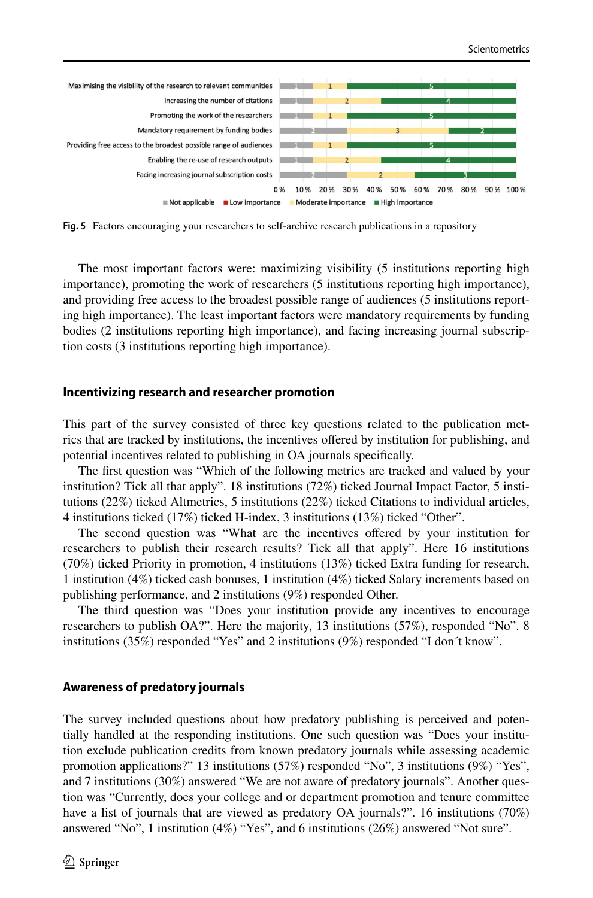

<span id="page-11-0"></span>**Fig. 5** Factors encouraging your researchers to self-archive research publications in a repository

The most important factors were: maximizing visibility (5 institutions reporting high importance), promoting the work of researchers (5 institutions reporting high importance), and providing free access to the broadest possible range of audiences (5 institutions reporting high importance). The least important factors were mandatory requirements by funding bodies (2 institutions reporting high importance), and facing increasing journal subscription costs (3 institutions reporting high importance).

## **Incentivizing research and researcher promotion**

This part of the survey consisted of three key questions related to the publication metrics that are tracked by institutions, the incentives ofered by institution for publishing, and potential incentives related to publishing in OA journals specifcally.

The frst question was "Which of the following metrics are tracked and valued by your institution? Tick all that apply". 18 institutions (72%) ticked Journal Impact Factor, 5 institutions (22%) ticked Altmetrics, 5 institutions (22%) ticked Citations to individual articles, 4 institutions ticked (17%) ticked H-index, 3 institutions (13%) ticked "Other".

The second question was "What are the incentives ofered by your institution for researchers to publish their research results? Tick all that apply". Here 16 institutions (70%) ticked Priority in promotion, 4 institutions (13%) ticked Extra funding for research, 1 institution (4%) ticked cash bonuses, 1 institution (4%) ticked Salary increments based on publishing performance, and 2 institutions (9%) responded Other.

The third question was "Does your institution provide any incentives to encourage researchers to publish OA?". Here the majority, 13 institutions (57%), responded "No". 8 institutions (35%) responded "Yes" and 2 institutions (9%) responded "I don´t know".

## **Awareness of predatory journals**

The survey included questions about how predatory publishing is perceived and potentially handled at the responding institutions. One such question was "Does your institution exclude publication credits from known predatory journals while assessing academic promotion applications?" 13 institutions (57%) responded "No", 3 institutions (9%) "Yes", and 7 institutions (30%) answered "We are not aware of predatory journals". Another question was "Currently, does your college and or department promotion and tenure committee have a list of journals that are viewed as predatory OA journals?". 16 institutions (70%) answered "No", 1 institution (4%) "Yes", and 6 institutions (26%) answered "Not sure".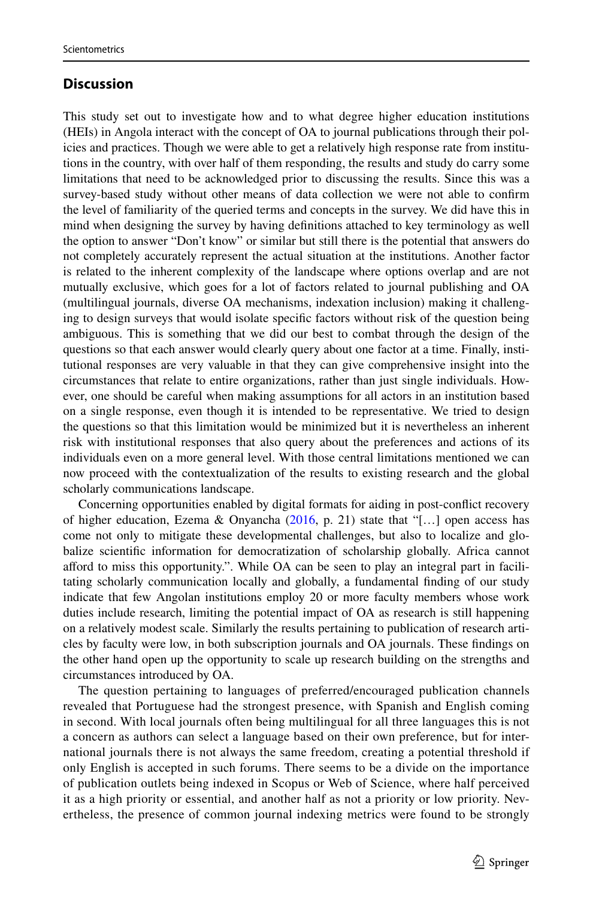# **Discussion**

This study set out to investigate how and to what degree higher education institutions (HEIs) in Angola interact with the concept of OA to journal publications through their policies and practices. Though we were able to get a relatively high response rate from institutions in the country, with over half of them responding, the results and study do carry some limitations that need to be acknowledged prior to discussing the results. Since this was a survey-based study without other means of data collection we were not able to confrm the level of familiarity of the queried terms and concepts in the survey. We did have this in mind when designing the survey by having defnitions attached to key terminology as well the option to answer "Don't know" or similar but still there is the potential that answers do not completely accurately represent the actual situation at the institutions. Another factor is related to the inherent complexity of the landscape where options overlap and are not mutually exclusive, which goes for a lot of factors related to journal publishing and OA (multilingual journals, diverse OA mechanisms, indexation inclusion) making it challenging to design surveys that would isolate specifc factors without risk of the question being ambiguous. This is something that we did our best to combat through the design of the questions so that each answer would clearly query about one factor at a time. Finally, institutional responses are very valuable in that they can give comprehensive insight into the circumstances that relate to entire organizations, rather than just single individuals. However, one should be careful when making assumptions for all actors in an institution based on a single response, even though it is intended to be representative. We tried to design the questions so that this limitation would be minimized but it is nevertheless an inherent risk with institutional responses that also query about the preferences and actions of its individuals even on a more general level. With those central limitations mentioned we can now proceed with the contextualization of the results to existing research and the global scholarly communications landscape.

Concerning opportunities enabled by digital formats for aiding in post-confict recovery of higher education, Ezema & Onyancha ([2016,](#page-15-11) p. 21) state that "[…] open access has come not only to mitigate these developmental challenges, but also to localize and globalize scientifc information for democratization of scholarship globally. Africa cannot aford to miss this opportunity.". While OA can be seen to play an integral part in facilitating scholarly communication locally and globally, a fundamental fnding of our study indicate that few Angolan institutions employ 20 or more faculty members whose work duties include research, limiting the potential impact of OA as research is still happening on a relatively modest scale. Similarly the results pertaining to publication of research articles by faculty were low, in both subscription journals and OA journals. These fndings on the other hand open up the opportunity to scale up research building on the strengths and circumstances introduced by OA.

The question pertaining to languages of preferred/encouraged publication channels revealed that Portuguese had the strongest presence, with Spanish and English coming in second. With local journals often being multilingual for all three languages this is not a concern as authors can select a language based on their own preference, but for international journals there is not always the same freedom, creating a potential threshold if only English is accepted in such forums. There seems to be a divide on the importance of publication outlets being indexed in Scopus or Web of Science, where half perceived it as a high priority or essential, and another half as not a priority or low priority. Nevertheless, the presence of common journal indexing metrics were found to be strongly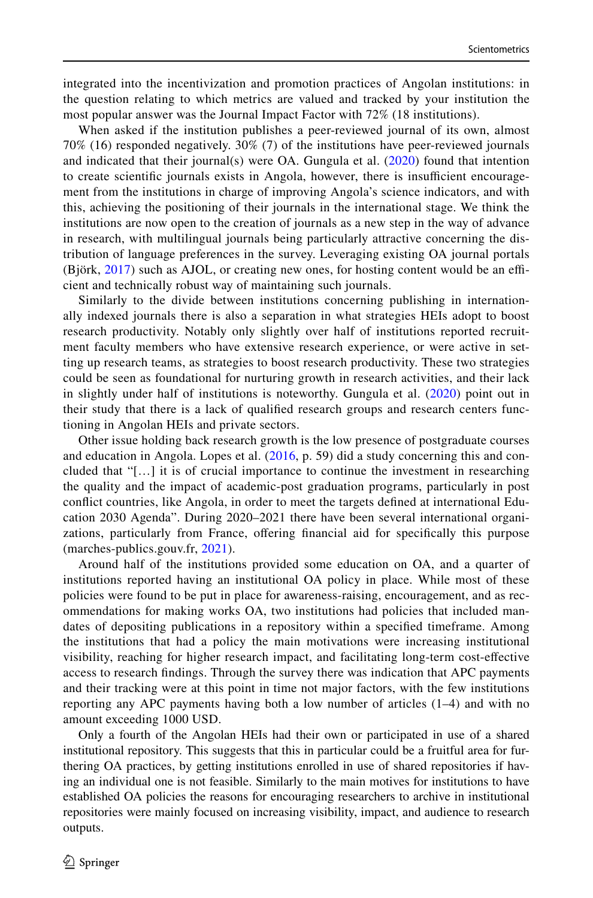integrated into the incentivization and promotion practices of Angolan institutions: in the question relating to which metrics are valued and tracked by your institution the most popular answer was the Journal Impact Factor with 72% (18 institutions).

When asked if the institution publishes a peer-reviewed journal of its own, almost 70% (16) responded negatively. 30% (7) of the institutions have peer-reviewed journals and indicated that their journal(s) were OA. Gungula et al. [\(2020\)](#page-16-16) found that intention to create scientific journals exists in Angola, however, there is insufficient encouragement from the institutions in charge of improving Angola's science indicators, and with this, achieving the positioning of their journals in the international stage. We think the institutions are now open to the creation of journals as a new step in the way of advance in research, with multilingual journals being particularly attractive concerning the distribution of language preferences in the survey. Leveraging existing OA journal portals  $(Björk, 2017)$  $(Björk, 2017)$  $(Björk, 2017)$  such as AJOL, or creating new ones, for hosting content would be an efficient and technically robust way of maintaining such journals.

Similarly to the divide between institutions concerning publishing in internationally indexed journals there is also a separation in what strategies HEIs adopt to boost research productivity. Notably only slightly over half of institutions reported recruitment faculty members who have extensive research experience, or were active in setting up research teams, as strategies to boost research productivity. These two strategies could be seen as foundational for nurturing growth in research activities, and their lack in slightly under half of institutions is noteworthy. Gungula et al. ([2020](#page-16-16)) point out in their study that there is a lack of qualifed research groups and research centers functioning in Angolan HEIs and private sectors.

Other issue holding back research growth is the low presence of postgraduate courses and education in Angola. Lopes et al. ([2016](#page-16-17), p. 59) did a study concerning this and concluded that "[…] it is of crucial importance to continue the investment in researching the quality and the impact of academic-post graduation programs, particularly in post confict countries, like Angola, in order to meet the targets defned at international Education 2030 Agenda". During 2020–2021 there have been several international organizations, particularly from France, ofering fnancial aid for specifcally this purpose (marches-publics.gouv.fr, [2021\)](#page-16-18).

Around half of the institutions provided some education on OA, and a quarter of institutions reported having an institutional OA policy in place. While most of these policies were found to be put in place for awareness-raising, encouragement, and as recommendations for making works OA, two institutions had policies that included mandates of depositing publications in a repository within a specifed timeframe. Among the institutions that had a policy the main motivations were increasing institutional visibility, reaching for higher research impact, and facilitating long-term cost-efective access to research fndings. Through the survey there was indication that APC payments and their tracking were at this point in time not major factors, with the few institutions reporting any APC payments having both a low number of articles (1–4) and with no amount exceeding 1000 USD.

Only a fourth of the Angolan HEIs had their own or participated in use of a shared institutional repository. This suggests that this in particular could be a fruitful area for furthering OA practices, by getting institutions enrolled in use of shared repositories if having an individual one is not feasible. Similarly to the main motives for institutions to have established OA policies the reasons for encouraging researchers to archive in institutional repositories were mainly focused on increasing visibility, impact, and audience to research outputs.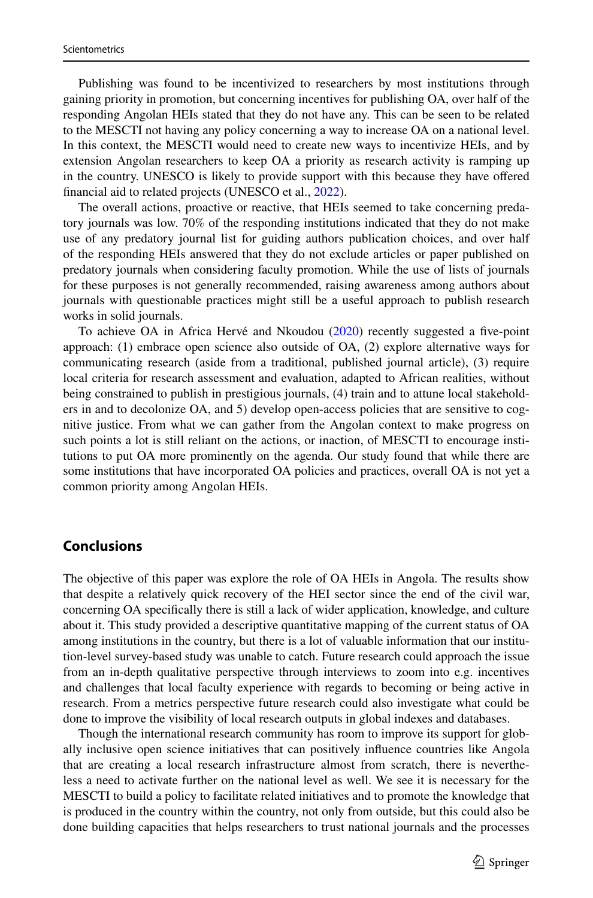Publishing was found to be incentivized to researchers by most institutions through gaining priority in promotion, but concerning incentives for publishing OA, over half of the responding Angolan HEIs stated that they do not have any. This can be seen to be related to the MESCTI not having any policy concerning a way to increase OA on a national level. In this context, the MESCTI would need to create new ways to incentivize HEIs, and by extension Angolan researchers to keep OA a priority as research activity is ramping up in the country. UNESCO is likely to provide support with this because they have ofered fnancial aid to related projects (UNESCO et al., [2022\)](#page-16-19).

The overall actions, proactive or reactive, that HEIs seemed to take concerning predatory journals was low. 70% of the responding institutions indicated that they do not make use of any predatory journal list for guiding authors publication choices, and over half of the responding HEIs answered that they do not exclude articles or paper published on predatory journals when considering faculty promotion. While the use of lists of journals for these purposes is not generally recommended, raising awareness among authors about journals with questionable practices might still be a useful approach to publish research works in solid journals.

To achieve OA in Africa Hervé and Nkoudou [\(2020](#page-16-4)) recently suggested a fve-point approach: (1) embrace open science also outside of OA, (2) explore alternative ways for communicating research (aside from a traditional, published journal article), (3) require local criteria for research assessment and evaluation, adapted to African realities, without being constrained to publish in prestigious journals, (4) train and to attune local stakeholders in and to decolonize OA, and 5) develop open-access policies that are sensitive to cognitive justice. From what we can gather from the Angolan context to make progress on such points a lot is still reliant on the actions, or inaction, of MESCTI to encourage institutions to put OA more prominently on the agenda. Our study found that while there are some institutions that have incorporated OA policies and practices, overall OA is not yet a common priority among Angolan HEIs.

# **Conclusions**

The objective of this paper was explore the role of OA HEIs in Angola. The results show that despite a relatively quick recovery of the HEI sector since the end of the civil war, concerning OA specifcally there is still a lack of wider application, knowledge, and culture about it. This study provided a descriptive quantitative mapping of the current status of OA among institutions in the country, but there is a lot of valuable information that our institution-level survey-based study was unable to catch. Future research could approach the issue from an in-depth qualitative perspective through interviews to zoom into e.g. incentives and challenges that local faculty experience with regards to becoming or being active in research. From a metrics perspective future research could also investigate what could be done to improve the visibility of local research outputs in global indexes and databases.

Though the international research community has room to improve its support for globally inclusive open science initiatives that can positively infuence countries like Angola that are creating a local research infrastructure almost from scratch, there is nevertheless a need to activate further on the national level as well. We see it is necessary for the MESCTI to build a policy to facilitate related initiatives and to promote the knowledge that is produced in the country within the country, not only from outside, but this could also be done building capacities that helps researchers to trust national journals and the processes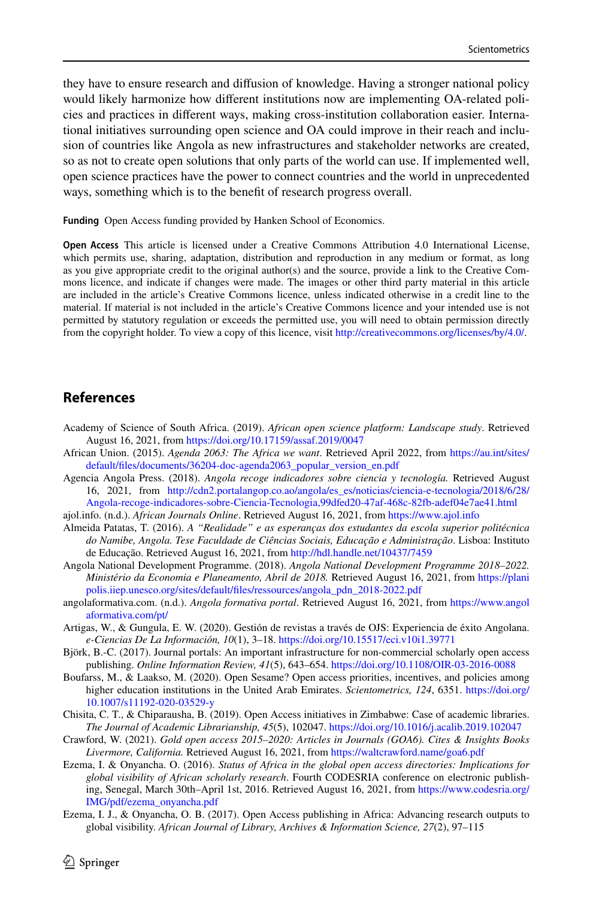they have to ensure research and difusion of knowledge. Having a stronger national policy would likely harmonize how diferent institutions now are implementing OA-related policies and practices in diferent ways, making cross-institution collaboration easier. International initiatives surrounding open science and OA could improve in their reach and inclusion of countries like Angola as new infrastructures and stakeholder networks are created, so as not to create open solutions that only parts of the world can use. If implemented well, open science practices have the power to connect countries and the world in unprecedented ways, something which is to the beneft of research progress overall.

Funding Open Access funding provided by Hanken School of Economics.

**Open Access** This article is licensed under a Creative Commons Attribution 4.0 International License, which permits use, sharing, adaptation, distribution and reproduction in any medium or format, as long as you give appropriate credit to the original author(s) and the source, provide a link to the Creative Commons licence, and indicate if changes were made. The images or other third party material in this article are included in the article's Creative Commons licence, unless indicated otherwise in a credit line to the material. If material is not included in the article's Creative Commons licence and your intended use is not permitted by statutory regulation or exceeds the permitted use, you will need to obtain permission directly from the copyright holder. To view a copy of this licence, visit [http://creativecommons.org/licenses/by/4.0/.](http://creativecommons.org/licenses/by/4.0/)

# **References**

- <span id="page-15-2"></span>Academy of Science of South Africa. (2019). *African open science platform: Landscape study*. Retrieved August 16, 2021, from<https://doi.org/10.17159/assaf.2019/0047>
- <span id="page-15-0"></span>African Union. (2015). *Agenda 2063: The Africa we want*. Retrieved April 2022, from [https://au.int/sites/](https://au.int/sites/default/files/documents/36204-doc-agenda2063_popular_version_en.pdf) [default/fles/documents/36204-doc-agenda2063\\_popular\\_version\\_en.pdf](https://au.int/sites/default/files/documents/36204-doc-agenda2063_popular_version_en.pdf)
- <span id="page-15-9"></span>Agencia Angola Press. (2018). *Angola recoge indicadores sobre ciencia y tecnología.* Retrieved August 16, 2021, from [http://cdn2.portalangop.co.ao/angola/es\\_es/noticias/ciencia-e-tecnologia/2018/6/28/](http://cdn2.portalangop.co.ao/angola/es_es/noticias/ciencia-e-tecnologia/2018/6/28/Angola-recoge-indicadores-sobre-Ciencia-Tecnologia,99dfed20-47af-468c-82fb-adef04e7ae41.html) [Angola-recoge-indicadores-sobre-Ciencia-Tecnologia,99dfed20-47af-468c-82fb-adef04e7ae41.html](http://cdn2.portalangop.co.ao/angola/es_es/noticias/ciencia-e-tecnologia/2018/6/28/Angola-recoge-indicadores-sobre-Ciencia-Tecnologia,99dfed20-47af-468c-82fb-adef04e7ae41.html)
- ajol.info. (n.d.). *African Journals Online*. Retrieved August 16, 2021, from <https://www.ajol.info>
- <span id="page-15-7"></span>Almeida Patatas, T. (2016). *A "Realidade" e as esperanças dos estudantes da escola superior politécnica do Namibe, Angola. Tese Faculdade de Ciências Sociais, Educação e Administração*. Lisboa: Instituto de Educação. Retrieved August 16, 2021, from <http://hdl.handle.net/10437/7459>
- <span id="page-15-8"></span>Angola National Development Programme. (2018). *Angola National Development Programme 2018–2022. Ministério da Economia e Planeamento, Abril de 2018.* Retrieved August 16, 2021, from [https://plani](https://planipolis.iiep.unesco.org/sites/default/files/ressources/angola_pdn_2018-2022.pdf) [polis.iiep.unesco.org/sites/default/fles/ressources/angola\\_pdn\\_2018-2022.pdf](https://planipolis.iiep.unesco.org/sites/default/files/ressources/angola_pdn_2018-2022.pdf)
- angolaformativa.com. (n.d.). *Angola formativa portal*. Retrieved August 16, 2021, from [https://www.angol](https://www.angolaformativa.com/pt/) [aformativa.com/pt/](https://www.angolaformativa.com/pt/)
- <span id="page-15-5"></span>Artigas, W., & Gungula, E. W. (2020). Gestión de revistas a través de OJS: Experiencia de éxito Angolana. *e-Ciencias De La Información, 10*(1), 3–18. <https://doi.org/10.15517/eci.v10i1.39771>
- <span id="page-15-1"></span>Björk, B.-C. (2017). Journal portals: An important infrastructure for non-commercial scholarly open access publishing. *Online Information Review, 41*(5), 643–654. <https://doi.org/10.1108/OIR-03-2016-0088>
- <span id="page-15-10"></span>Boufarss, M., & Laakso, M. (2020). Open Sesame? Open access priorities, incentives, and policies among higher education institutions in the United Arab Emirates. *Scientometrics, 124*, 6351. [https://doi.org/](https://doi.org/10.1007/s11192-020-03529-y) [10.1007/s11192-020-03529-y](https://doi.org/10.1007/s11192-020-03529-y)
- <span id="page-15-6"></span>Chisita, C. T., & Chiparausha, B. (2019). Open Access initiatives in Zimbabwe: Case of academic libraries. *The Journal of Academic Librarianship, 45*(5), 102047.<https://doi.org/10.1016/j.acalib.2019.102047>
- <span id="page-15-4"></span>Crawford, W. (2021). *Gold open access 2015–2020: Articles in Journals (GOA6). Cites & Insights Books Livermore, California.* Retrieved August 16, 2021, from<https://waltcrawford.name/goa6.pdf>
- <span id="page-15-11"></span>Ezema, I. & Onyancha. O. (2016). *Status of Africa in the global open access directories: Implications for global visibility of African scholarly research*. Fourth CODESRIA conference on electronic publishing, Senegal, March 30th–April 1st, 2016. Retrieved August 16, 2021, from [https://www.codesria.org/](https://www.codesria.org/IMG/pdf/ezema_onyancha.pdf) [IMG/pdf/ezema\\_onyancha.pdf](https://www.codesria.org/IMG/pdf/ezema_onyancha.pdf)
- <span id="page-15-3"></span>Ezema, I. J., & Onyancha, O. B. (2017). Open Access publishing in Africa: Advancing research outputs to global visibility. *African Journal of Library, Archives & Information Science, 27*(2), 97–115